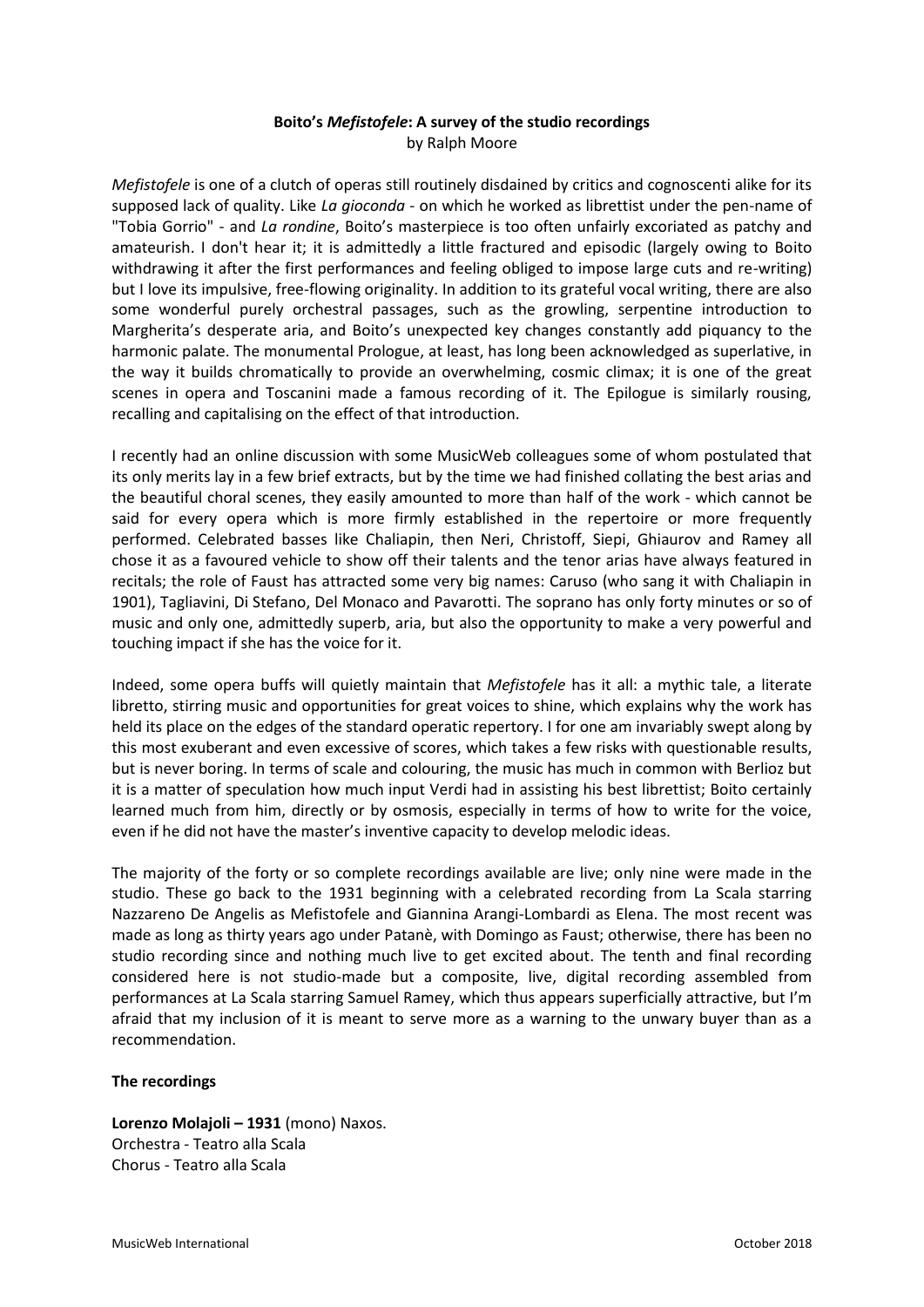## **Boito's** *Mefistofele***: A survey of the studio recordings** by Ralph Moore

*Mefistofele* is one of a clutch of operas still routinely disdained by critics and cognoscenti alike for its supposed lack of quality. Like *La gioconda* - on which he worked as librettist under the pen-name of "Tobia Gorrio" - and *La rondine*, Boito's masterpiece is too often unfairly excoriated as patchy and amateurish. I don't hear it; it is admittedly a little fractured and episodic (largely owing to Boito withdrawing it after the first performances and feeling obliged to impose large cuts and re-writing) but I love its impulsive, free-flowing originality. In addition to its grateful vocal writing, there are also some wonderful purely orchestral passages, such as the growling, serpentine introduction to Margherita's desperate aria, and Boito's unexpected key changes constantly add piquancy to the harmonic palate. The monumental Prologue, at least, has long been acknowledged as superlative, in the way it builds chromatically to provide an overwhelming, cosmic climax; it is one of the great scenes in opera and Toscanini made a famous recording of it. The Epilogue is similarly rousing, recalling and capitalising on the effect of that introduction.

I recently had an online discussion with some MusicWeb colleagues some of whom postulated that its only merits lay in a few brief extracts, but by the time we had finished collating the best arias and the beautiful choral scenes, they easily amounted to more than half of the work - which cannot be said for every opera which is more firmly established in the repertoire or more frequently performed. Celebrated basses like Chaliapin, then Neri, Christoff, Siepi, Ghiaurov and Ramey all chose it as a favoured vehicle to show off their talents and the tenor arias have always featured in recitals; the role of Faust has attracted some very big names: Caruso (who sang it with Chaliapin in 1901), Tagliavini, Di Stefano, Del Monaco and Pavarotti. The soprano has only forty minutes or so of music and only one, admittedly superb, aria, but also the opportunity to make a very powerful and touching impact if she has the voice for it.

Indeed, some opera buffs will quietly maintain that *Mefistofele* has it all: a mythic tale, a literate libretto, stirring music and opportunities for great voices to shine, which explains why the work has held its place on the edges of the standard operatic repertory. I for one am invariably swept along by this most exuberant and even excessive of scores, which takes a few risks with questionable results, but is never boring. In terms of scale and colouring, the music has much in common with Berlioz but it is a matter of speculation how much input Verdi had in assisting his best librettist; Boito certainly learned much from him, directly or by osmosis, especially in terms of how to write for the voice, even if he did not have the master's inventive capacity to develop melodic ideas.

The majority of the forty or so complete recordings available are live; only nine were made in the studio. These go back to the 1931 beginning with a celebrated recording from La Scala starring Nazzareno De Angelis as Mefistofele and Giannina Arangi-Lombardi as Elena. The most recent was made as long as thirty years ago under Patanè, with Domingo as Faust; otherwise, there has been no studio recording since and nothing much live to get excited about. The tenth and final recording considered here is not studio-made but a composite, live, digital recording assembled from performances at La Scala starring Samuel Ramey, which thus appears superficially attractive, but I'm afraid that my inclusion of it is meant to serve more as a warning to the unwary buyer than as a recommendation.

## **The recordings**

**Lorenzo Molajoli – 1931** (mono) Naxos. Orchestra - Teatro alla Scala Chorus - Teatro alla Scala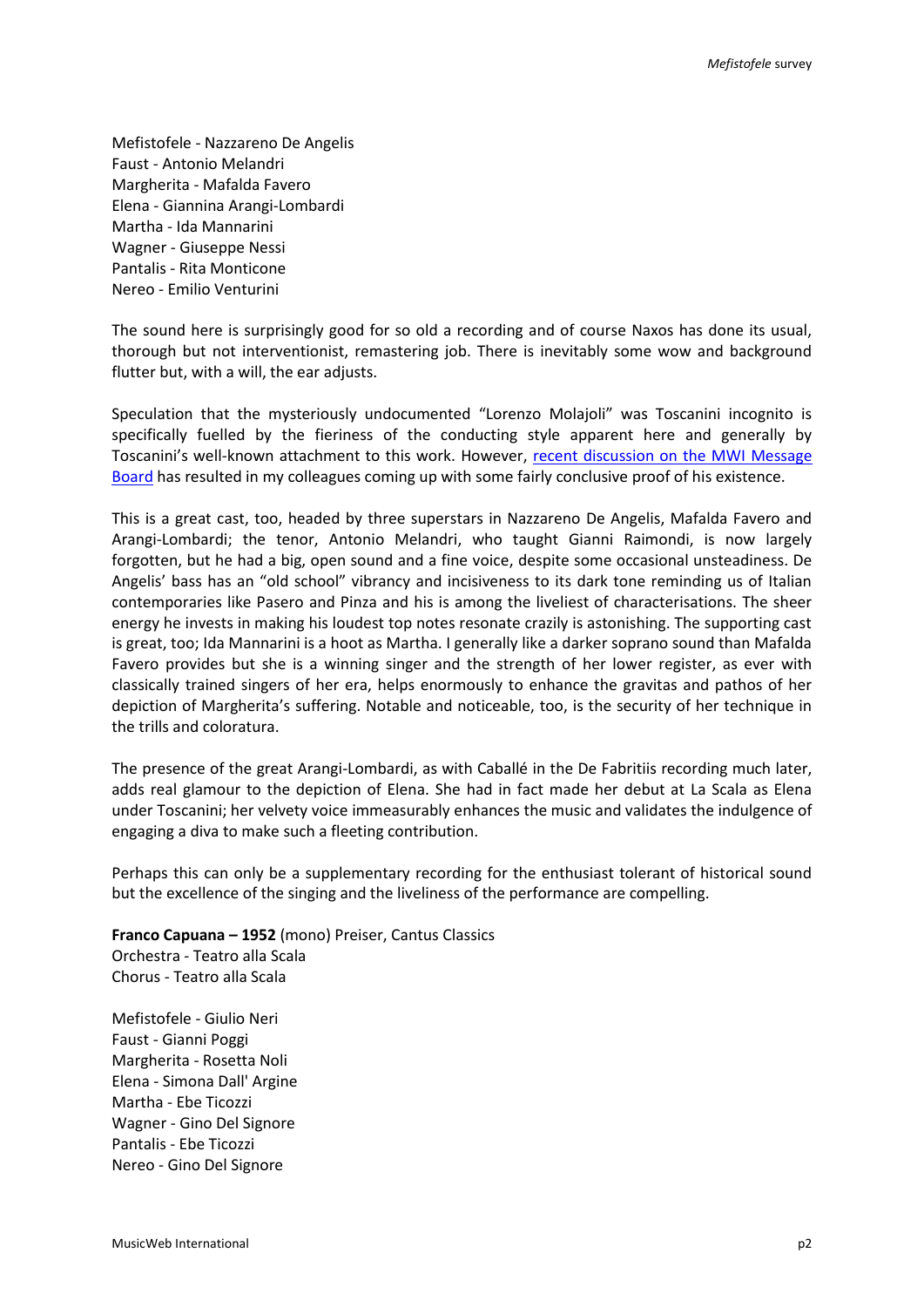Mefistofele - Nazzareno De Angelis Faust - Antonio Melandri Margherita - Mafalda Favero Elena - Giannina Arangi-Lombardi Martha - Ida Mannarini Wagner - Giuseppe Nessi Pantalis - Rita Monticone Nereo - Emilio Venturini

The sound here is surprisingly good for so old a recording and of course Naxos has done its usual, thorough but not interventionist, remastering job. There is inevitably some wow and background flutter but, with a will, the ear adjusts.

Speculation that the mysteriously undocumented "Lorenzo Molajoli" was Toscanini incognito is specifically fuelled by the fieriness of the conducting style apparent here and generally by Toscanini's well-known attachment to this work. However, [recent discussion on the MWI Message](http://members2.boardhost.com/MusicWebUK/msg/1539941821.html)  [Board](http://members2.boardhost.com/MusicWebUK/msg/1539941821.html) has resulted in my colleagues coming up with some fairly conclusive proof of his existence.

This is a great cast, too, headed by three superstars in Nazzareno De Angelis, Mafalda Favero and Arangi-Lombardi; the tenor, Antonio Melandri, who taught Gianni Raimondi, is now largely forgotten, but he had a big, open sound and a fine voice, despite some occasional unsteadiness. De Angelis' bass has an "old school" vibrancy and incisiveness to its dark tone reminding us of Italian contemporaries like Pasero and Pinza and his is among the liveliest of characterisations. The sheer energy he invests in making his loudest top notes resonate crazily is astonishing. The supporting cast is great, too; Ida Mannarini is a hoot as Martha. I generally like a darker soprano sound than Mafalda Favero provides but she is a winning singer and the strength of her lower register, as ever with classically trained singers of her era, helps enormously to enhance the gravitas and pathos of her depiction of Margherita's suffering. Notable and noticeable, too, is the security of her technique in the trills and coloratura.

The presence of the great Arangi-Lombardi, as with Caballé in the De Fabritiis recording much later, adds real glamour to the depiction of Elena. She had in fact made her debut at La Scala as Elena under Toscanini; her velvety voice immeasurably enhances the music and validates the indulgence of engaging a diva to make such a fleeting contribution.

Perhaps this can only be a supplementary recording for the enthusiast tolerant of historical sound but the excellence of the singing and the liveliness of the performance are compelling.

**Franco Capuana – 1952** (mono) Preiser, Cantus Classics Orchestra - Teatro alla Scala Chorus - Teatro alla Scala

Mefistofele - Giulio Neri Faust - Gianni Poggi Margherita - Rosetta Noli Elena - Simona Dall' Argine Martha - Ebe Ticozzi Wagner - Gino Del Signore Pantalis - Ebe Ticozzi Nereo - Gino Del Signore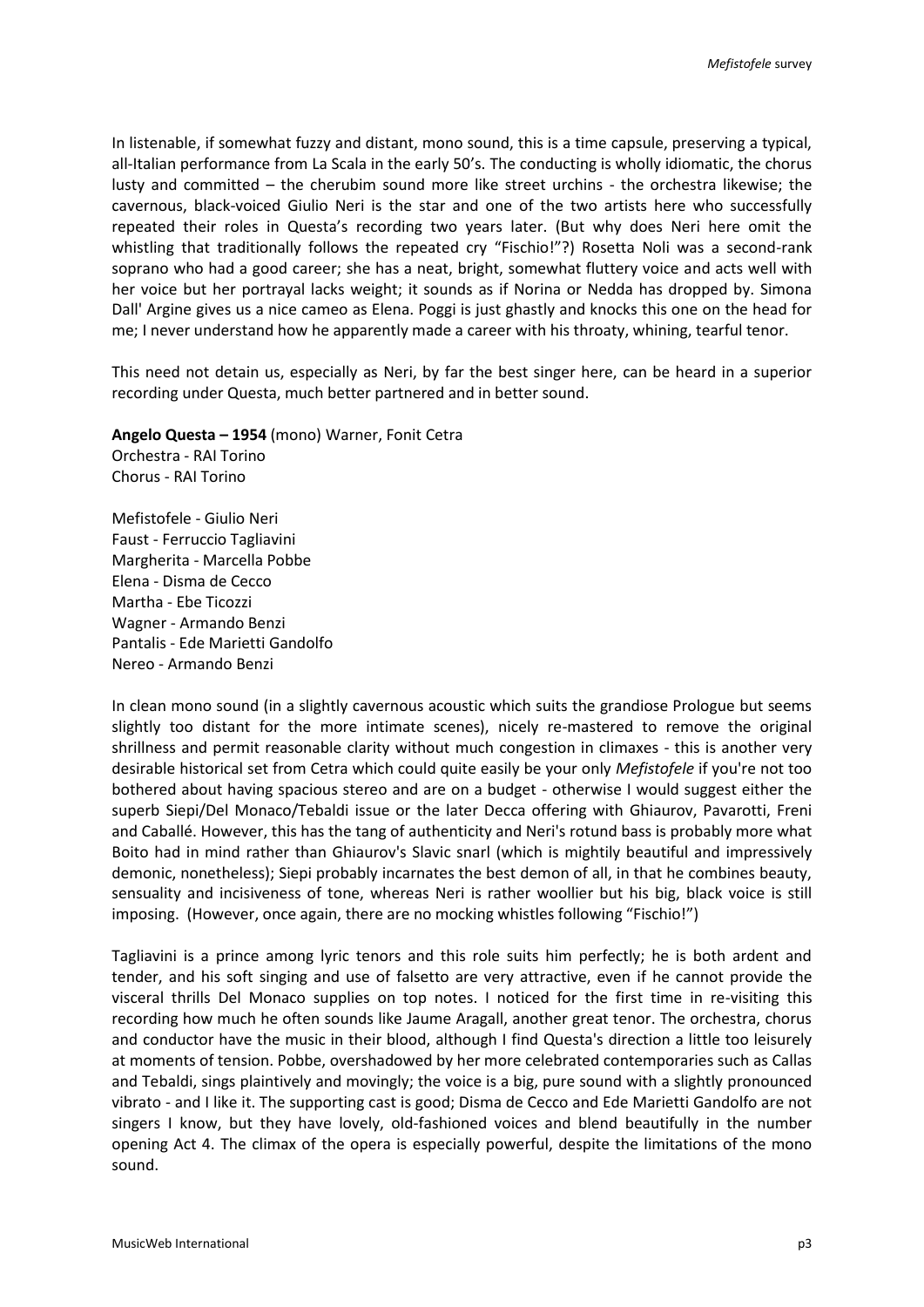In listenable, if somewhat fuzzy and distant, mono sound, this is a time capsule, preserving a typical, all-Italian performance from La Scala in the early 50's. The conducting is wholly idiomatic, the chorus lusty and committed – the cherubim sound more like street urchins - the orchestra likewise; the cavernous, black-voiced Giulio Neri is the star and one of the two artists here who successfully repeated their roles in Questa's recording two years later. (But why does Neri here omit the whistling that traditionally follows the repeated cry "Fischio!"?) Rosetta Noli was a second-rank soprano who had a good career; she has a neat, bright, somewhat fluttery voice and acts well with her voice but her portrayal lacks weight; it sounds as if Norina or Nedda has dropped by. Simona Dall' Argine gives us a nice cameo as Elena. Poggi is just ghastly and knocks this one on the head for me; I never understand how he apparently made a career with his throaty, whining, tearful tenor.

This need not detain us, especially as Neri, by far the best singer here, can be heard in a superior recording under Questa, much better partnered and in better sound.

**Angelo Questa – 1954** (mono) Warner, Fonit Cetra

Orchestra - RAI Torino Chorus - RAI Torino

Mefistofele - Giulio Neri Faust - Ferruccio Tagliavini Margherita - Marcella Pobbe Elena - Disma de Cecco Martha - Ebe Ticozzi Wagner - Armando Benzi Pantalis - Ede Marietti Gandolfo Nereo - Armando Benzi

In clean mono sound (in a slightly cavernous acoustic which suits the grandiose Prologue but seems slightly too distant for the more intimate scenes), nicely re-mastered to remove the original shrillness and permit reasonable clarity without much congestion in climaxes - this is another very desirable historical set from Cetra which could quite easily be your only *Mefistofele* if you're not too bothered about having spacious stereo and are on a budget - otherwise I would suggest either the superb Siepi/Del Monaco/Tebaldi issue or the later Decca offering with Ghiaurov, Pavarotti, Freni and Caballé. However, this has the tang of authenticity and Neri's rotund bass is probably more what Boito had in mind rather than Ghiaurov's Slavic snarl (which is mightily beautiful and impressively demonic, nonetheless); Siepi probably incarnates the best demon of all, in that he combines beauty, sensuality and incisiveness of tone, whereas Neri is rather woollier but his big, black voice is still imposing. (However, once again, there are no mocking whistles following "Fischio!")

Tagliavini is a prince among lyric tenors and this role suits him perfectly; he is both ardent and tender, and his soft singing and use of falsetto are very attractive, even if he cannot provide the visceral thrills Del Monaco supplies on top notes. I noticed for the first time in re-visiting this recording how much he often sounds like Jaume Aragall, another great tenor. The orchestra, chorus and conductor have the music in their blood, although I find Questa's direction a little too leisurely at moments of tension. Pobbe, overshadowed by her more celebrated contemporaries such as Callas and Tebaldi, sings plaintively and movingly; the voice is a big, pure sound with a slightly pronounced vibrato - and I like it. The supporting cast is good; Disma de Cecco and Ede Marietti Gandolfo are not singers I know, but they have lovely, old-fashioned voices and blend beautifully in the number opening Act 4. The climax of the opera is especially powerful, despite the limitations of the mono sound.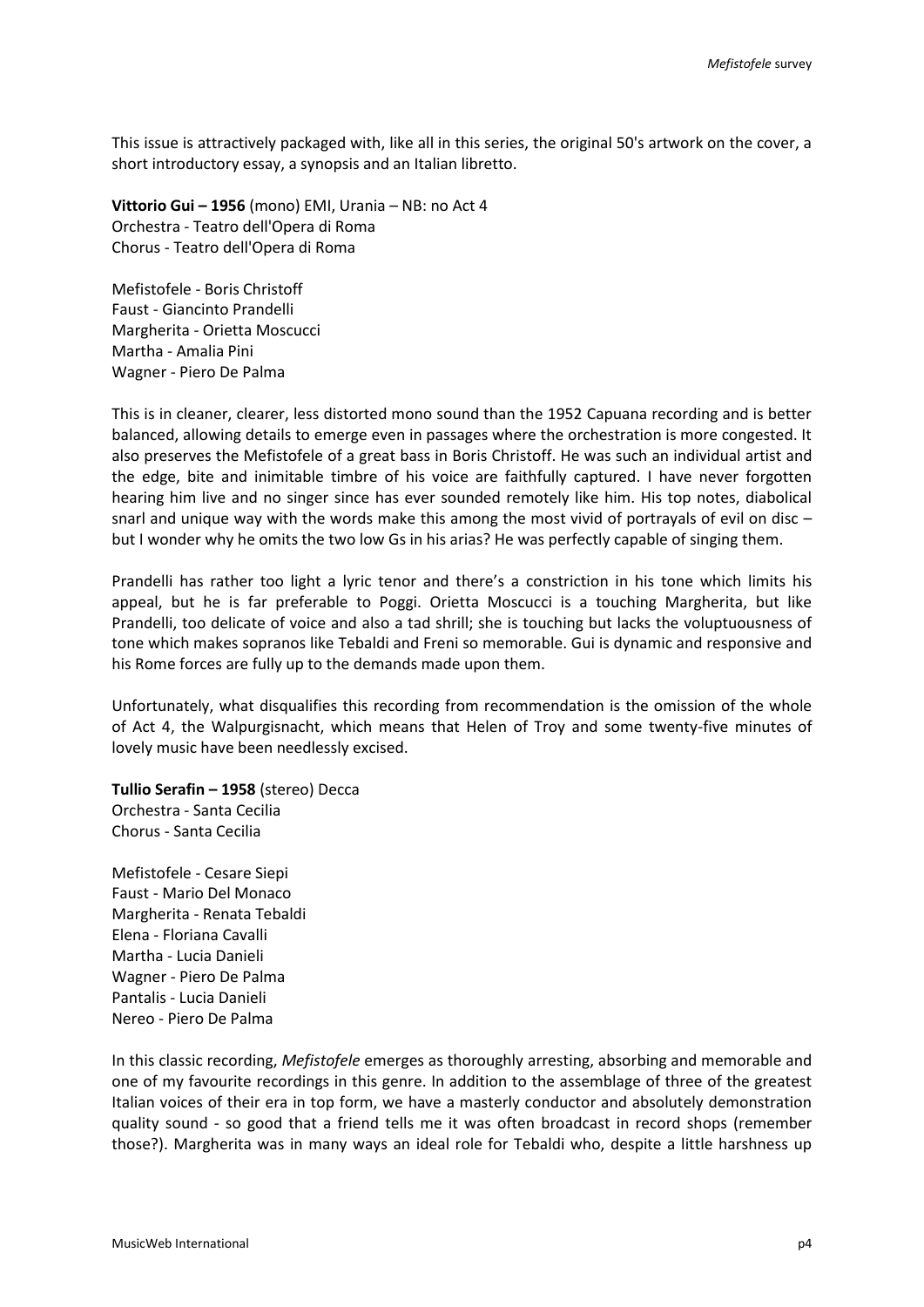This issue is attractively packaged with, like all in this series, the original 50's artwork on the cover, a short introductory essay, a synopsis and an Italian libretto.

**Vittorio Gui – 1956** (mono) EMI, Urania – NB: no Act 4 Orchestra - Teatro dell'Opera di Roma Chorus - Teatro dell'Opera di Roma

Mefistofele - Boris Christoff Faust - Giancinto Prandelli Margherita - Orietta Moscucci Martha - Amalia Pini Wagner - Piero De Palma

This is in cleaner, clearer, less distorted mono sound than the 1952 Capuana recording and is better balanced, allowing details to emerge even in passages where the orchestration is more congested. It also preserves the Mefistofele of a great bass in Boris Christoff. He was such an individual artist and the edge, bite and inimitable timbre of his voice are faithfully captured. I have never forgotten hearing him live and no singer since has ever sounded remotely like him. His top notes, diabolical snarl and unique way with the words make this among the most vivid of portrayals of evil on disc – but I wonder why he omits the two low Gs in his arias? He was perfectly capable of singing them.

Prandelli has rather too light a lyric tenor and there's a constriction in his tone which limits his appeal, but he is far preferable to Poggi. Orietta Moscucci is a touching Margherita, but like Prandelli, too delicate of voice and also a tad shrill; she is touching but lacks the voluptuousness of tone which makes sopranos like Tebaldi and Freni so memorable. Gui is dynamic and responsive and his Rome forces are fully up to the demands made upon them.

Unfortunately, what disqualifies this recording from recommendation is the omission of the whole of Act 4, the Walpurgisnacht, which means that Helen of Troy and some twenty-five minutes of lovely music have been needlessly excised.

**Tullio Serafin – 1958** (stereo) Decca Orchestra - Santa Cecilia Chorus - Santa Cecilia

Mefistofele - Cesare Siepi Faust - Mario Del Monaco Margherita - Renata Tebaldi Elena - Floriana Cavalli Martha - Lucia Danieli Wagner - Piero De Palma Pantalis - Lucia Danieli Nereo - Piero De Palma

In this classic recording, *Mefistofele* emerges as thoroughly arresting, absorbing and memorable and one of my favourite recordings in this genre. In addition to the assemblage of three of the greatest Italian voices of their era in top form, we have a masterly conductor and absolutely demonstration quality sound - so good that a friend tells me it was often broadcast in record shops (remember those?). Margherita was in many ways an ideal role for Tebaldi who, despite a little harshness up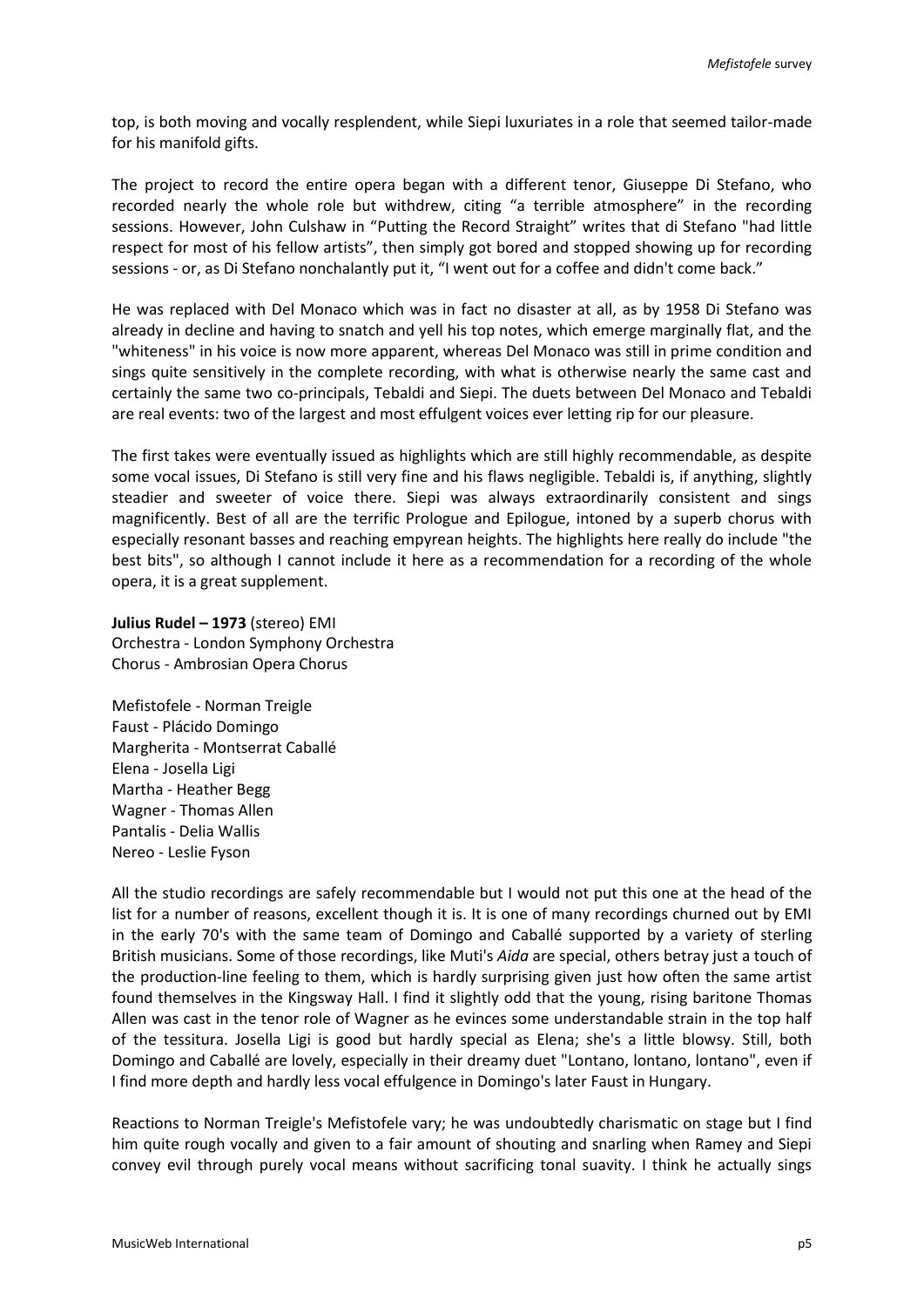top, is both moving and vocally resplendent, while Siepi luxuriates in a role that seemed tailor-made for his manifold gifts.

The project to record the entire opera began with a different tenor, Giuseppe Di Stefano, who recorded nearly the whole role but withdrew, citing "a terrible atmosphere" in the recording sessions. However, John Culshaw in "Putting the Record Straight" writes that di Stefano "had little respect for most of his fellow artists", then simply got bored and stopped showing up for recording sessions - or, as Di Stefano nonchalantly put it, "I went out for a coffee and didn't come back."

He was replaced with Del Monaco which was in fact no disaster at all, as by 1958 Di Stefano was already in decline and having to snatch and yell his top notes, which emerge marginally flat, and the "whiteness" in his voice is now more apparent, whereas Del Monaco was still in prime condition and sings quite sensitively in the complete recording, with what is otherwise nearly the same cast and certainly the same two co-principals, Tebaldi and Siepi. The duets between Del Monaco and Tebaldi are real events: two of the largest and most effulgent voices ever letting rip for our pleasure.

The first takes were eventually issued as highlights which are still highly recommendable, as despite some vocal issues, Di Stefano is still very fine and his flaws negligible. Tebaldi is, if anything, slightly steadier and sweeter of voice there. Siepi was always extraordinarily consistent and sings magnificently. Best of all are the terrific Prologue and Epilogue, intoned by a superb chorus with especially resonant basses and reaching empyrean heights. The highlights here really do include "the best bits", so although I cannot include it here as a recommendation for a recording of the whole opera, it is a great supplement.

**Julius Rudel – 1973** (stereo) EMI Orchestra - London Symphony Orchestra Chorus - Ambrosian Opera Chorus

Mefistofele - Norman Treigle Faust - Plácido Domingo Margherita - Montserrat Caballé Elena - Josella Ligi Martha - Heather Begg Wagner - Thomas Allen Pantalis - Delia Wallis Nereo - Leslie Fyson

All the studio recordings are safely recommendable but I would not put this one at the head of the list for a number of reasons, excellent though it is. It is one of many recordings churned out by EMI in the early 70's with the same team of Domingo and Caballé supported by a variety of sterling British musicians. Some of those recordings, like Muti's *Aida* are special, others betray just a touch of the production-line feeling to them, which is hardly surprising given just how often the same artist found themselves in the Kingsway Hall. I find it slightly odd that the young, rising baritone Thomas Allen was cast in the tenor role of Wagner as he evinces some understandable strain in the top half of the tessitura. Josella Ligi is good but hardly special as Elena; she's a little blowsy. Still, both Domingo and Caballé are lovely, especially in their dreamy duet "Lontano, lontano, lontano", even if I find more depth and hardly less vocal effulgence in Domingo's later Faust in Hungary.

Reactions to Norman Treigle's Mefistofele vary; he was undoubtedly charismatic on stage but I find him quite rough vocally and given to a fair amount of shouting and snarling when Ramey and Siepi convey evil through purely vocal means without sacrificing tonal suavity. I think he actually sings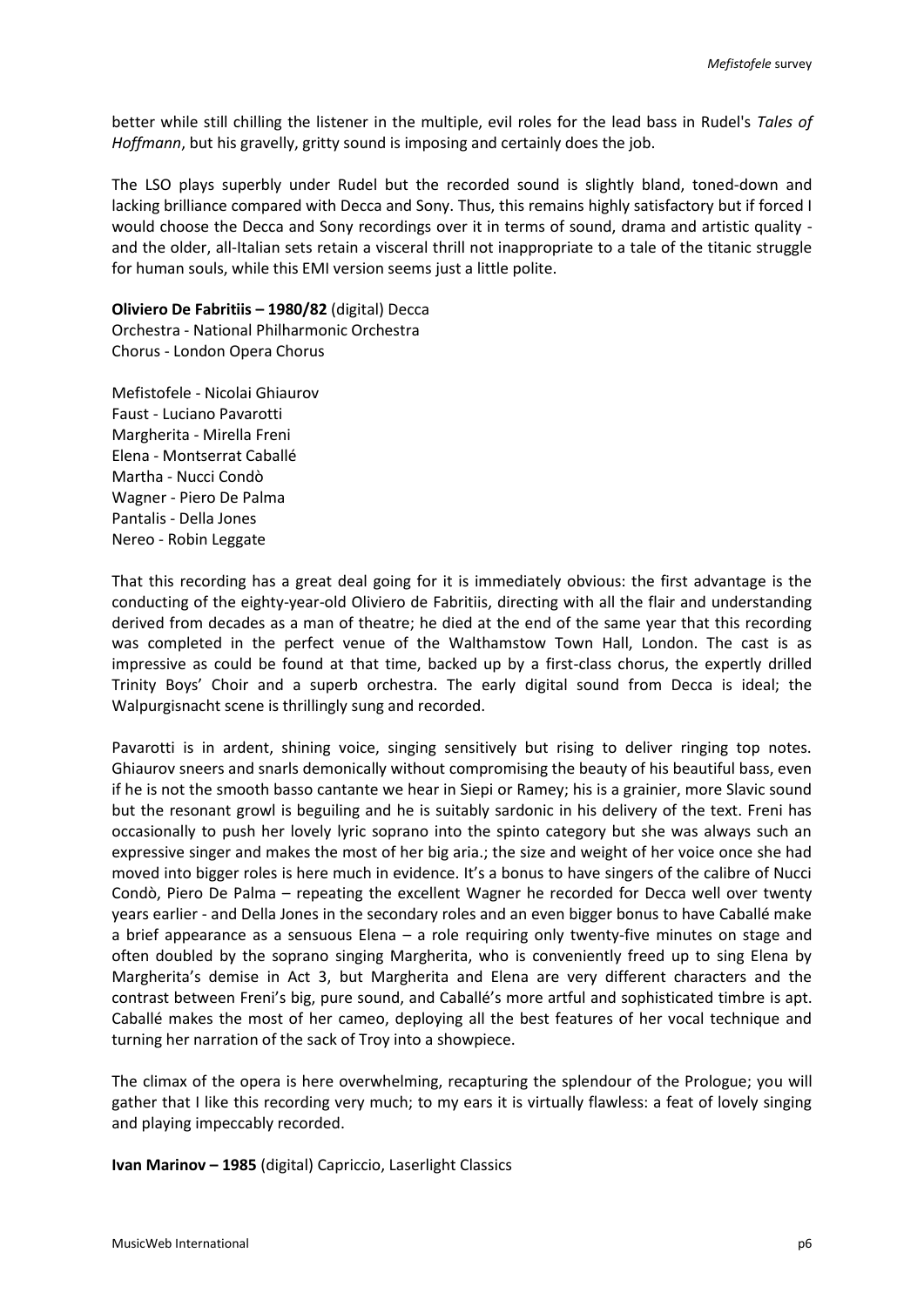better while still chilling the listener in the multiple, evil roles for the lead bass in Rudel's *Tales of Hoffmann*, but his gravelly, gritty sound is imposing and certainly does the job.

The LSO plays superbly under Rudel but the recorded sound is slightly bland, toned-down and lacking brilliance compared with Decca and Sony. Thus, this remains highly satisfactory but if forced I would choose the Decca and Sony recordings over it in terms of sound, drama and artistic quality and the older, all-Italian sets retain a visceral thrill not inappropriate to a tale of the titanic struggle for human souls, while this EMI version seems just a little polite.

**Oliviero De Fabritiis – 1980/82** (digital) Decca Orchestra - National Philharmonic Orchestra Chorus - London Opera Chorus

Mefistofele - Nicolai Ghiaurov Faust - Luciano Pavarotti Margherita - Mirella Freni Elena - Montserrat Caballé Martha - Nucci Condò Wagner - Piero De Palma Pantalis - Della Jones Nereo - Robin Leggate

That this recording has a great deal going for it is immediately obvious: the first advantage is the conducting of the eighty-year-old Oliviero de Fabritiis, directing with all the flair and understanding derived from decades as a man of theatre; he died at the end of the same year that this recording was completed in the perfect venue of the Walthamstow Town Hall, London. The cast is as impressive as could be found at that time, backed up by a first-class chorus, the expertly drilled Trinity Boys' Choir and a superb orchestra. The early digital sound from Decca is ideal; the Walpurgisnacht scene is thrillingly sung and recorded.

Pavarotti is in ardent, shining voice, singing sensitively but rising to deliver ringing top notes. Ghiaurov sneers and snarls demonically without compromising the beauty of his beautiful bass, even if he is not the smooth basso cantante we hear in Siepi or Ramey; his is a grainier, more Slavic sound but the resonant growl is beguiling and he is suitably sardonic in his delivery of the text. Freni has occasionally to push her lovely lyric soprano into the spinto category but she was always such an expressive singer and makes the most of her big aria.; the size and weight of her voice once she had moved into bigger roles is here much in evidence. It's a bonus to have singers of the calibre of Nucci Condò, Piero De Palma – repeating the excellent Wagner he recorded for Decca well over twenty years earlier - and Della Jones in the secondary roles and an even bigger bonus to have Caballé make a brief appearance as a sensuous Elena – a role requiring only twenty-five minutes on stage and often doubled by the soprano singing Margherita, who is conveniently freed up to sing Elena by Margherita's demise in Act 3, but Margherita and Elena are very different characters and the contrast between Freni's big, pure sound, and Caballé's more artful and sophisticated timbre is apt. Caballé makes the most of her cameo, deploying all the best features of her vocal technique and turning her narration of the sack of Troy into a showpiece.

The climax of the opera is here overwhelming, recapturing the splendour of the Prologue; you will gather that I like this recording very much; to my ears it is virtually flawless: a feat of lovely singing and playing impeccably recorded.

**Ivan Marinov – 1985** (digital) Capriccio, Laserlight Classics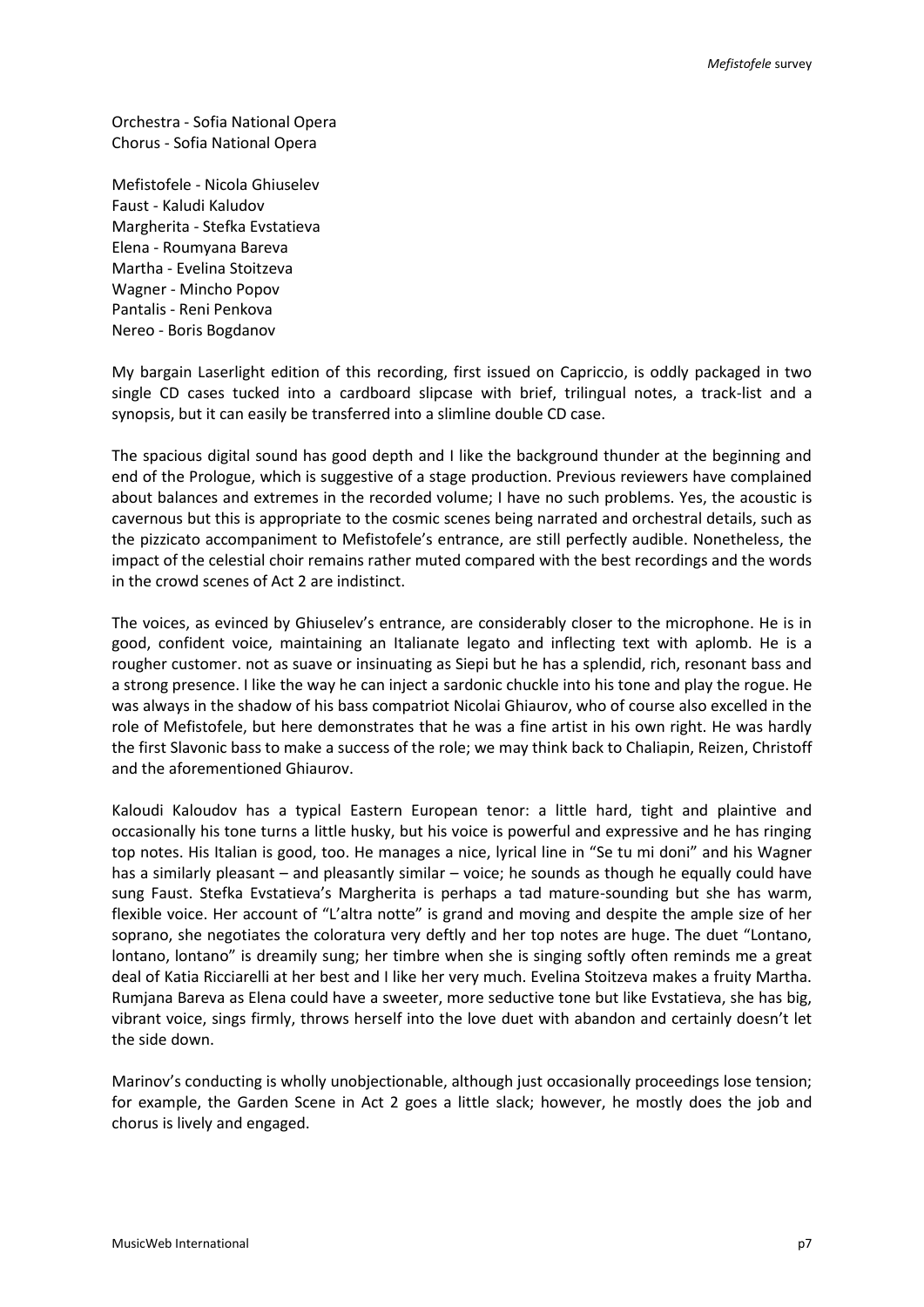Orchestra - Sofia National Opera Chorus - Sofia National Opera

Mefistofele - Nicola Ghiuselev Faust - Kaludi Kaludov Margherita - Stefka Evstatieva Elena - Roumyana Bareva Martha - Evelina Stoitzeva Wagner - Mincho Popov Pantalis - Reni Penkova Nereo - Boris Bogdanov

My bargain Laserlight edition of this recording, first issued on Capriccio, is oddly packaged in two single CD cases tucked into a cardboard slipcase with brief, trilingual notes, a track-list and a synopsis, but it can easily be transferred into a slimline double CD case.

The spacious digital sound has good depth and I like the background thunder at the beginning and end of the Prologue, which is suggestive of a stage production. Previous reviewers have complained about balances and extremes in the recorded volume; I have no such problems. Yes, the acoustic is cavernous but this is appropriate to the cosmic scenes being narrated and orchestral details, such as the pizzicato accompaniment to Mefistofele's entrance, are still perfectly audible. Nonetheless, the impact of the celestial choir remains rather muted compared with the best recordings and the words in the crowd scenes of Act 2 are indistinct.

The voices, as evinced by Ghiuselev's entrance, are considerably closer to the microphone. He is in good, confident voice, maintaining an Italianate legato and inflecting text with aplomb. He is a rougher customer. not as suave or insinuating as Siepi but he has a splendid, rich, resonant bass and a strong presence. I like the way he can inject a sardonic chuckle into his tone and play the rogue. He was always in the shadow of his bass compatriot Nicolai Ghiaurov, who of course also excelled in the role of Mefistofele, but here demonstrates that he was a fine artist in his own right. He was hardly the first Slavonic bass to make a success of the role; we may think back to Chaliapin, Reizen, Christoff and the aforementioned Ghiaurov.

Kaloudi Kaloudov has a typical Eastern European tenor: a little hard, tight and plaintive and occasionally his tone turns a little husky, but his voice is powerful and expressive and he has ringing top notes. His Italian is good, too. He manages a nice, lyrical line in "Se tu mi doni" and his Wagner has a similarly pleasant – and pleasantly similar – voice; he sounds as though he equally could have sung Faust. Stefka Evstatieva's Margherita is perhaps a tad mature-sounding but she has warm, flexible voice. Her account of "L'altra notte" is grand and moving and despite the ample size of her soprano, she negotiates the coloratura very deftly and her top notes are huge. The duet "Lontano, lontano, lontano" is dreamily sung; her timbre when she is singing softly often reminds me a great deal of Katia Ricciarelli at her best and I like her very much. Evelina Stoitzeva makes a fruity Martha. Rumjana Bareva as Elena could have a sweeter, more seductive tone but like Evstatieva, she has big, vibrant voice, sings firmly, throws herself into the love duet with abandon and certainly doesn't let the side down.

Marinov's conducting is wholly unobjectionable, although just occasionally proceedings lose tension; for example, the Garden Scene in Act 2 goes a little slack; however, he mostly does the job and chorus is lively and engaged.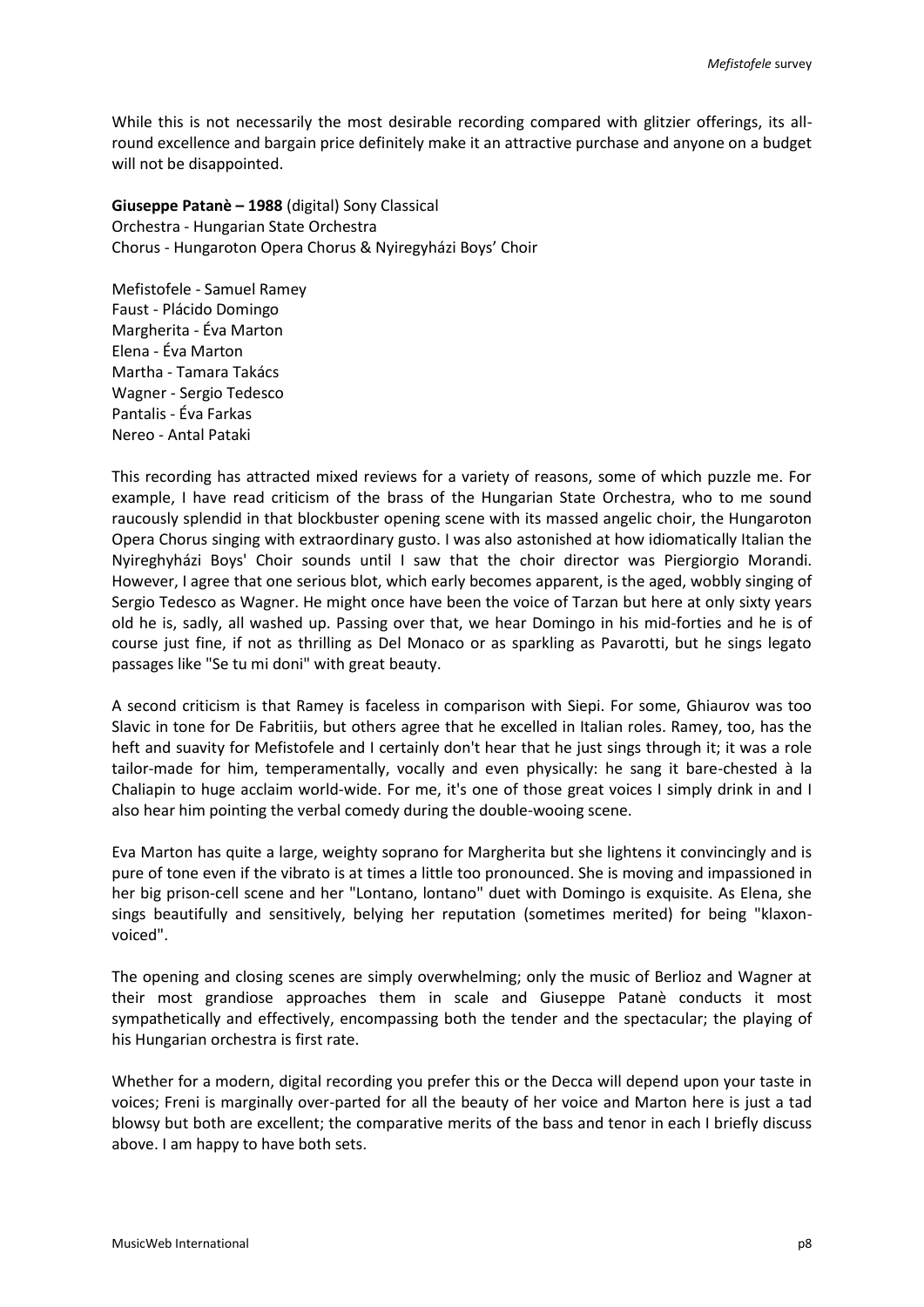While this is not necessarily the most desirable recording compared with glitzier offerings, its allround excellence and bargain price definitely make it an attractive purchase and anyone on a budget will not be disappointed.

**Giuseppe Patanè – 1988** (digital) Sony Classical Orchestra - Hungarian State Orchestra Chorus - Hungaroton Opera Chorus & Nyiregyházi Boys' Choir

Mefistofele - Samuel Ramey Faust - Plácido Domingo Margherita - Éva Marton Elena - Éva Marton Martha - Tamara Takács Wagner - Sergio Tedesco Pantalis - Éva Farkas Nereo - Antal Pataki

This recording has attracted mixed reviews for a variety of reasons, some of which puzzle me. For example, I have read criticism of the brass of the Hungarian State Orchestra, who to me sound raucously splendid in that blockbuster opening scene with its massed angelic choir, the Hungaroton Opera Chorus singing with extraordinary gusto. I was also astonished at how idiomatically Italian the Nyireghyházi Boys' Choir sounds until I saw that the choir director was Piergiorgio Morandi. However, I agree that one serious blot, which early becomes apparent, is the aged, wobbly singing of Sergio Tedesco as Wagner. He might once have been the voice of Tarzan but here at only sixty years old he is, sadly, all washed up. Passing over that, we hear Domingo in his mid-forties and he is of course just fine, if not as thrilling as Del Monaco or as sparkling as Pavarotti, but he sings legato passages like "Se tu mi doni" with great beauty.

A second criticism is that Ramey is faceless in comparison with Siepi. For some, Ghiaurov was too Slavic in tone for De Fabritiis, but others agree that he excelled in Italian roles. Ramey, too, has the heft and suavity for Mefistofele and I certainly don't hear that he just sings through it; it was a role tailor-made for him, temperamentally, vocally and even physically: he sang it bare-chested à la Chaliapin to huge acclaim world-wide. For me, it's one of those great voices I simply drink in and I also hear him pointing the verbal comedy during the double-wooing scene.

Eva Marton has quite a large, weighty soprano for Margherita but she lightens it convincingly and is pure of tone even if the vibrato is at times a little too pronounced. She is moving and impassioned in her big prison-cell scene and her "Lontano, lontano" duet with Domingo is exquisite. As Elena, she sings beautifully and sensitively, belying her reputation (sometimes merited) for being "klaxonvoiced".

The opening and closing scenes are simply overwhelming; only the music of Berlioz and Wagner at their most grandiose approaches them in scale and Giuseppe Patanè conducts it most sympathetically and effectively, encompassing both the tender and the spectacular; the playing of his Hungarian orchestra is first rate.

Whether for a modern, digital recording you prefer this or the Decca will depend upon your taste in voices; Freni is marginally over-parted for all the beauty of her voice and Marton here is just a tad blowsy but both are excellent; the comparative merits of the bass and tenor in each I briefly discuss above. I am happy to have both sets.